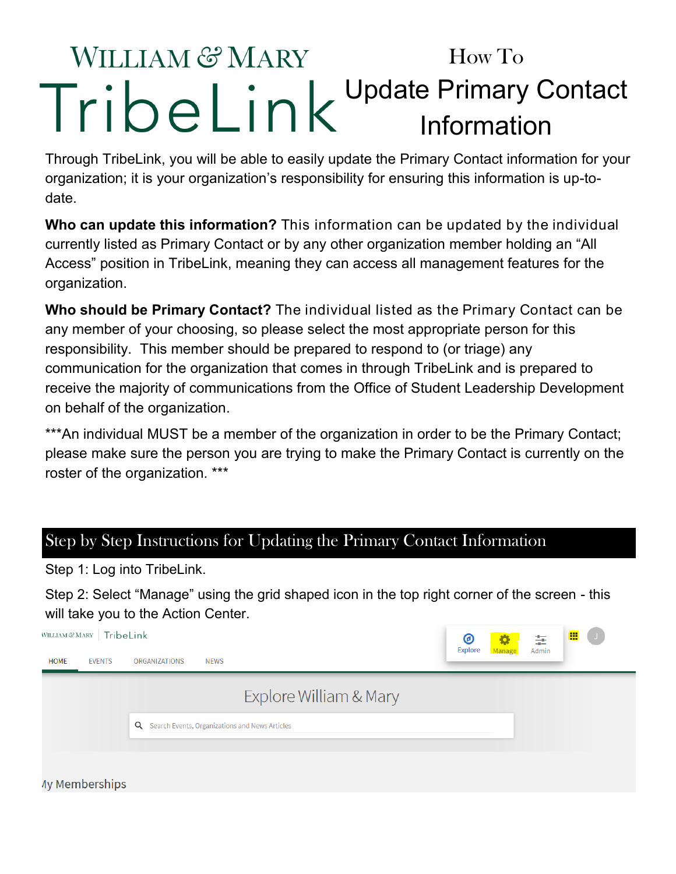## WILLIAM & MARY How To Update Primary Contact Information

Through TribeLink, you will be able to easily update the Primary Contact information for your organization; it is your organization's responsibility for ensuring this information is up-todate.

**Who can update this information?** This information can be updated by the individual currently listed as Primary Contact or by any other organization member holding an "All Access" position in TribeLink, meaning they can access all management features for the organization.

**Who should be Primary Contact?** The individual listed as the Primary Contact can be any member of your choosing, so please select the most appropriate person for this responsibility. This member should be prepared to respond to (or triage) any communication for the organization that comes in through TribeLink and is prepared to receive the majority of communications from the Office of Student Leadership Development on behalf of the organization.

\*\*\*An individual MUST be a member of the organization in order to be the Primary Contact; please make sure the person you are trying to make the Primary Contact is currently on the roster of the organization. \*\*\*

## Step by Step Instructions for Updating the Primary Contact Information

Step 1: Log into TribeLink.

Step 2: Select "Manage" using the grid shaped icon in the top right corner of the screen - this will take you to the Action Center.

| WILLIAM $\mathcal{C}$ MARY $\;$<br>TribeLink |                                                  | ◉              | 93     | \$    | m<br>$\cup$ |
|----------------------------------------------|--------------------------------------------------|----------------|--------|-------|-------------|
| <b>EVENTS</b><br><b>HOME</b>                 | <b>ORGANIZATIONS</b><br><b>NEWS</b>              | <b>Explore</b> | Manage | Admin |             |
|                                              | Explore William & Mary                           |                |        |       |             |
|                                              | Q Search Events, Organizations and News Articles |                |        |       |             |
| <b>Ay Memberships</b>                        |                                                  |                |        |       |             |